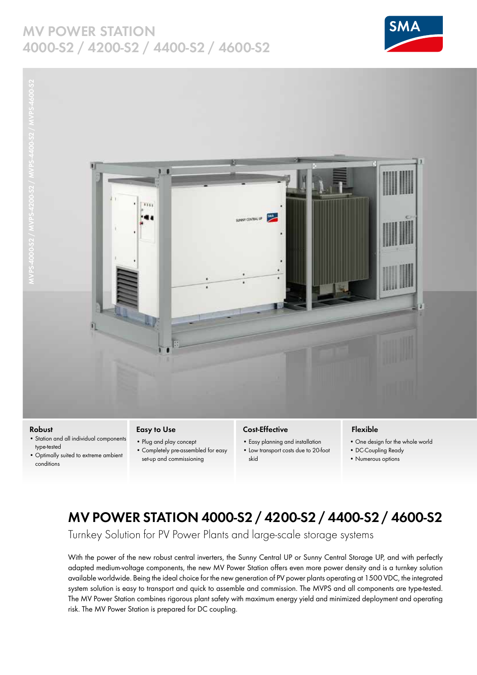### **MV POWER STATION 4000-S2 / 4200-S2 / 4400-S2 / 4600-S2**







#### **Robust**

- Station and all individual components type-tested
- Optimally suited to extreme ambient conditions

#### **Easy to Use**

- Plug and play concept • Completely pre-assembled for easy
- set-up and commissioning

### **Cost-Effective**

- Easy planning and installation
- Low transport costs due to 20-foot skid

### **Flexible**

- One design for the whole world
- DC-Coupling Ready
- Numerous options

## **MV POWER STATION 4000-S2 / 4200-S2 / 4400-S2 / 4600-S2**

Turnkey Solution for PV Power Plants and large-scale storage systems

With the power of the new robust central inverters, the Sunny Central UP or Sunny Central Storage UP, and with perfectly adapted medium-voltage components, the new MV Power Station offers even more power density and is a turnkey solution available worldwide. Being the ideal choice for the new generation of PV power plants operating at 1500 VDC, the integrated system solution is easy to transport and quick to assemble and commission. The MVPS and all components are type-tested. The MV Power Station combines rigorous plant safety with maximum energy yield and minimized deployment and operating risk. The MV Power Station is prepared for DC coupling.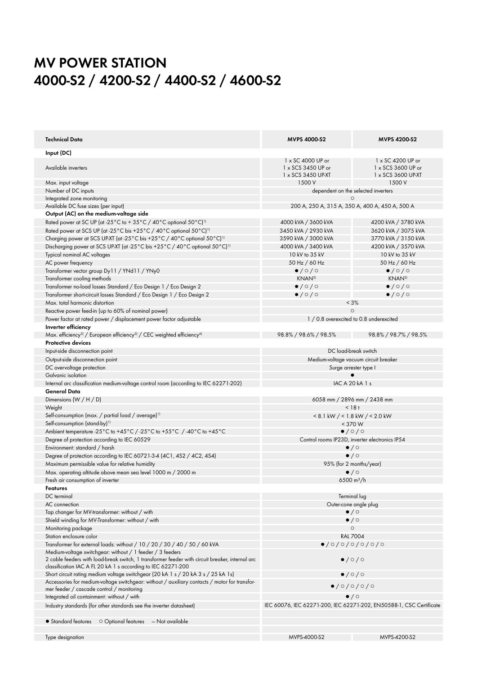# **MV POWER STATION 4000-S2 / 4200-S2 / 4400-S2 / 4600-S2**

| Technical Data                                                                                                                                                  | <b>MVPS 4000-S2</b>                                                 | <b>MVPS 4200-S2</b>                   |
|-----------------------------------------------------------------------------------------------------------------------------------------------------------------|---------------------------------------------------------------------|---------------------------------------|
| Input (DC)                                                                                                                                                      |                                                                     |                                       |
|                                                                                                                                                                 | 1 x SC 4000 UP or                                                   | 1 x SC 4200 UP or                     |
| Available inverters                                                                                                                                             | 1 x SCS 3450 UP or                                                  | 1 x SCS 3600 UP or                    |
| Max. input voltage                                                                                                                                              | 1 x SCS 3450 UP-XT<br>1500 V                                        | 1 x SCS 3600 UP-XT<br>1500 V          |
|                                                                                                                                                                 |                                                                     |                                       |
| Number of DC inputs<br>Integrated zone monitoring                                                                                                               | dependent on the selected inverters<br>$\circ$                      |                                       |
| Available DC fuse sizes (per input)                                                                                                                             | 200 A, 250 A, 315 A, 350 A, 400 A, 450 A, 500 A                     |                                       |
| Output (AC) on the medium-voltage side                                                                                                                          |                                                                     |                                       |
| Rated power at SC UP (at -25 $^{\circ}$ C to +35 $^{\circ}$ C /40 $^{\circ}$ C optional 50 $^{\circ}$ C) <sup>11</sup>                                          | 4000 kVA / 3600 kVA                                                 | 4200 kVA / 3780 kVA                   |
| Rated power at SCS UP (at -25°C bis +25°C / 40°C optional 50°C) <sup>11</sup>                                                                                   | 3450 kVA / 2930 kVA                                                 | 3620 kVA / 3075 kVA                   |
| Charging power at SCS UP-XT (at -25°C bis +25°C / 40°C optional 50°C) <sup>11</sup>                                                                             | 3590 kVA / 3000 kVA                                                 | 3770 kVA / 3150 kVA                   |
| Discharging power at SCS UP-XT (at -25°C bis +25°C / 40°C optional 50°C) <sup>11</sup>                                                                          | 4000 kVA / 3400 kVA                                                 | 4200 kVA / 3570 kVA                   |
| Typical nominal AC voltages                                                                                                                                     | 10 kV to 35 kV                                                      | 10 kV to 35 kV                        |
|                                                                                                                                                                 |                                                                     |                                       |
| AC power frequency                                                                                                                                              | 50 Hz / 60 Hz                                                       | 50 Hz / 60 Hz                         |
| Transformer vector group Dy11 / YNd11 / YNy0                                                                                                                    | $\bullet$ /0/0                                                      | $\bullet$ / $\circ$ / $\circ$         |
| Transformer cooling methods                                                                                                                                     | KNAN <sup>2)</sup>                                                  | KNAN <sup>2)</sup>                    |
| Transformer no-load losses Standard / Eco Design 1 / Eco Design 2                                                                                               | $\bullet$ /0/0                                                      | $\bullet$ / $\circ$ / $\circ$         |
| Transformer short-circuit losses Standard / Eco Design 1 / Eco Design 2                                                                                         | $\bullet$ /0/0                                                      | $\bullet$ /0/0                        |
| Max, total harmonic distortion                                                                                                                                  |                                                                     | < 3%                                  |
| Reactive power feed-in (up to 60% of nominal power)                                                                                                             |                                                                     | $\circ$                               |
| Power factor at rated power / displacement power factor adjustable                                                                                              | 1 / 0.8 overexcited to 0.8 underexcited                             |                                       |
| Inverter efficiency                                                                                                                                             |                                                                     |                                       |
| Max. efficiency <sup>3)</sup> / European efficiency <sup>3)</sup> / CEC weighted efficiency <sup>4)</sup>                                                       | 98.8% / 98.6% / 98.5%                                               | 98.8% / 98.7% / 98.5%                 |
| <b>Protective devices</b>                                                                                                                                       |                                                                     |                                       |
| Input-side disconnection point                                                                                                                                  | DC load-break switch                                                |                                       |
| Output-side disconnection point                                                                                                                                 |                                                                     | Medium-voltage vacuum circuit breaker |
| DC overvoltage protection                                                                                                                                       | Surge arrester type I                                               |                                       |
| Galvanic isolation                                                                                                                                              |                                                                     |                                       |
| Internal arc classification medium-voltage control room (according to IEC 62271-202)                                                                            |                                                                     | IAC A 20 kA 1 s                       |
| <b>General Data</b>                                                                                                                                             |                                                                     |                                       |
| Dimensions $(W/H/D)$                                                                                                                                            | 6058 mm / 2896 mm / 2438 mm                                         |                                       |
| Weight                                                                                                                                                          | $< 18 +$                                                            |                                       |
| Self-consumption (max. / partial load / average) <sup>11</sup>                                                                                                  | $< 8.1$ kW $/ < 1.8$ kW $/ < 2.0$ kW                                |                                       |
| Self-consumption (stand-by) <sup>1)</sup>                                                                                                                       | $<$ 370 W                                                           |                                       |
| Ambient temperature -25°C to +45°C / -25°C to +55°C / -40°C to +45°C                                                                                            | $\bullet$ /0/0                                                      |                                       |
| Degree of protection according to IEC 60529                                                                                                                     | Control rooms IP23D, inverter electronics IP54                      |                                       |
| Environment: standard / harsh                                                                                                                                   | $\bullet$ / $\circ$                                                 |                                       |
| Degree of protection according to IEC 60721-3-4 (4C1, 4S2 / 4C2, 4S4)                                                                                           | $\bullet$ / $\circ$                                                 |                                       |
| Maximum permissible value for relative humidity                                                                                                                 |                                                                     | 95% (for 2 months/year)               |
| Max. operating altitude above mean sea level 1000 m / 2000 m                                                                                                    | $\bullet$ / $\circ$                                                 |                                       |
| Fresh air consumption of inverter                                                                                                                               |                                                                     | 6500 m <sup>3</sup> /h                |
| Features                                                                                                                                                        |                                                                     |                                       |
| DC terminal                                                                                                                                                     |                                                                     | Terminal lug                          |
| AC connection                                                                                                                                                   |                                                                     | Outer-cone angle plug                 |
| Tap changer for MV-transformer: without / with                                                                                                                  | $\bullet$ / $\circ$                                                 |                                       |
| Shield winding for MV-Transformer: without / with                                                                                                               |                                                                     | $\bullet$ / $\circ$                   |
| Monitoring package                                                                                                                                              | $\circ$                                                             |                                       |
| Station enclosure color                                                                                                                                         | <b>RAL 7004</b>                                                     |                                       |
| Transformer for external loads: without / 10 / 20 / 30 / 40 / 50 / 60 kVA                                                                                       |                                                                     | $\bullet$ /0/0/0/0/0/0                |
| Medium-voltage switchgear: without / 1 feeder / 3 feeders                                                                                                       |                                                                     |                                       |
| 2 cable feeders with load-break switch, 1 transformer feeder with circuit breaker, internal arc<br>classification IAC A FL 20 kA 1 s according to IEC 62271-200 |                                                                     | $\bullet$ / $\circ$ / $\circ$         |
| Short circuit rating medium voltage switchgear (20 kA 1 s / 20 kA 3 s / 25 kA 1s)                                                                               |                                                                     | $\bullet$ /0/0                        |
| Accessories for medium-voltage switchgear: without / auxiliary contacts / motor for transfor-                                                                   |                                                                     |                                       |
| mer feeder / cascade control / monitoring                                                                                                                       | 0/0/0/0/0                                                           |                                       |
| Integrated oil containment: without / with                                                                                                                      |                                                                     | $\bullet$ / $\circ$                   |
| Industry standards (for other standards see the inverter datasheet)                                                                                             | IEC 60076, IEC 62271-200, IEC 62271-202, EN50588-1, CSC Certificate |                                       |
| O Optional features - Not available<br>• Standard features                                                                                                      |                                                                     |                                       |
| Type designation                                                                                                                                                | MVPS-4000-S2                                                        | MVPS-4200-S2                          |
|                                                                                                                                                                 |                                                                     |                                       |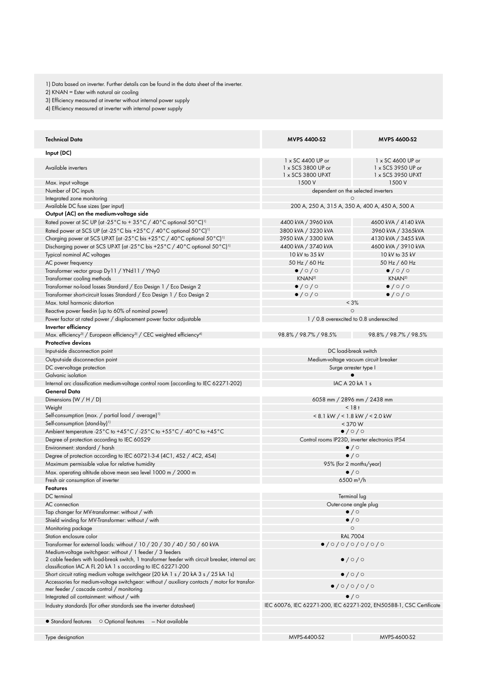1) Data based on inverter. Further details can be found in the data sheet of the inverter.

2) KNAN = Ester with natural air cooling

3) Efficiency measured at inverter without internal power supply

4) Efficiency measured at inverter with internal power supply

| <b>Technical Data</b>                                                                                                                                        | <b>MVPS 4400-S2</b>                                           | <b>MVPS 4600-S2</b>                                                 |
|--------------------------------------------------------------------------------------------------------------------------------------------------------------|---------------------------------------------------------------|---------------------------------------------------------------------|
| Input (DC)                                                                                                                                                   |                                                               |                                                                     |
| Available inverters                                                                                                                                          | 1 x SC 4400 UP or<br>1 x SCS 3800 UP or<br>1 x SCS 3800 UP-XT | 1 x SC 4600 UP or<br>1 x SCS 3950 UP or<br>1 x SCS 3950 UP-XT       |
| Max. input voltage                                                                                                                                           | 1500 V                                                        | 1500 V                                                              |
| Number of DC inputs                                                                                                                                          | dependent on the selected inverters                           |                                                                     |
| Integrated zone monitoring                                                                                                                                   | ∩                                                             |                                                                     |
| Available DC fuse sizes (per input)                                                                                                                          |                                                               | 200 A, 250 A, 315 A, 350 A, 400 A, 450 A, 500 A                     |
| Output (AC) on the medium-voltage side                                                                                                                       |                                                               |                                                                     |
| Rated power at SC UP (at -25°C to +35°C /40°C optional 50°C) <sup>11</sup>                                                                                   | 4400 kVA / 3960 kVA                                           | 4600 kVA / 4140 kVA                                                 |
| Rated power at SCS UP (at -25°C bis +25°C / 40°C optional 50°C) <sup>11</sup>                                                                                | 3800 kVA / 3230 kVA                                           | 3960 kVA / 3365kVA                                                  |
| Charging power at SCS UP-XT (at -25°C bis +25°C / 40°C optional 50°C) <sup>11</sup>                                                                          | 3950 kVA / 3300 kVA                                           | 4130 kVA / 3455 kVA                                                 |
| Discharging power at SCS UP-XT (at -25°C bis +25°C / 40°C optional 50°C) <sup>11</sup>                                                                       | 4400 kVA / 3740 kVA                                           | 4600 kVA / 3910 kVA                                                 |
| Typical nominal AC voltages                                                                                                                                  | 10 kV to 35 kV                                                | 10 kV to 35 kV                                                      |
| AC power frequency                                                                                                                                           | 50 Hz / 60 Hz                                                 | 50 Hz / 60 Hz                                                       |
| Transformer vector group Dy11 / YNd11 / YNy0<br>Transformer cooling methods                                                                                  | $\bullet$ /0/0<br>KNAN <sup>2)</sup>                          | $\bullet$ /0/0<br>KNAN <sup>2)</sup>                                |
|                                                                                                                                                              | $\bullet$ /0/0                                                | $\bullet$ /0/0                                                      |
| Transformer no-load losses Standard / Eco Design 1 / Eco Design 2<br>Transformer short-circuit losses Standard / Eco Design 1 / Eco Design 2                 | $\bullet$ / $\circ$ / $\circ$                                 | $\bullet$ /0/0                                                      |
| Max. total harmonic distortion                                                                                                                               |                                                               | < 3%                                                                |
| Reactive power feed-in (up to 60% of nominal power)                                                                                                          | $\circ$                                                       |                                                                     |
| Power factor at rated power / displacement power factor adjustable                                                                                           |                                                               | 1 / 0.8 overexcited to 0.8 underexcited                             |
| Inverter efficiency                                                                                                                                          |                                                               |                                                                     |
| Max. efficiency <sup>3)</sup> / European efficiency <sup>3)</sup> / CEC weighted efficiency <sup>4)</sup>                                                    | 98.8% / 98.7% / 98.5%                                         | 98.8% / 98.7% / 98.5%                                               |
| <b>Protective devices</b>                                                                                                                                    |                                                               |                                                                     |
| Input-side disconnection point                                                                                                                               | DC load-break switch                                          |                                                                     |
| Output-side disconnection point                                                                                                                              | Medium-voltage vacuum circuit breaker                         |                                                                     |
| DC overvoltage protection                                                                                                                                    | Surge arrester type I                                         |                                                                     |
| Galvanic isolation                                                                                                                                           |                                                               |                                                                     |
| Internal arc classification medium-voltage control room (according to IEC 62271-202)                                                                         | <b>IAC A 20 kA 1 s</b>                                        |                                                                     |
| General Data                                                                                                                                                 |                                                               |                                                                     |
| Dimensions $(W / H / D)$                                                                                                                                     | 6058 mm / 2896 mm / 2438 mm                                   |                                                                     |
| Weight                                                                                                                                                       | $< 18 +$                                                      |                                                                     |
| Self-consumption (max. / partial load / average) <sup>11</sup>                                                                                               | $< 8.1$ kW $/ < 1.8$ kW $/ < 2.0$ kW                          |                                                                     |
| Self-consumption (stand-by) <sup>1)</sup>                                                                                                                    | $<$ 370 W                                                     |                                                                     |
| Ambient temperature -25°C to +45°C / -25°C to +55°C / -40°C to +45°C                                                                                         | $\bullet$ /0/0                                                |                                                                     |
| Degree of protection according to IEC 60529                                                                                                                  | Control rooms IP23D, inverter electronics IP54                |                                                                     |
| Environment: standard / harsh                                                                                                                                | $\bullet$ / $\circ$                                           |                                                                     |
| Degree of protection according to IEC 60721-3-4 (4C1, 4S2 / 4C2, 4S4)                                                                                        | $\bullet$ / $\circ$                                           |                                                                     |
| Maximum permissible value for relative humidity                                                                                                              | 95% (for 2 months/year)                                       |                                                                     |
| Max. operating altitude above mean sea level 1000 m / 2000 m                                                                                                 | $\bullet$ / $\circ$                                           |                                                                     |
| Fresh air consumption of inverter                                                                                                                            |                                                               | 6500 $\rm m^3/h$                                                    |
| <b>Features</b><br>DC terminal                                                                                                                               |                                                               |                                                                     |
| AC connection                                                                                                                                                |                                                               | Terminal lug                                                        |
| Tap changer for MV-transformer: without / with                                                                                                               | Outer-cone angle plug<br>$\bullet$ / $\circ$                  |                                                                     |
| Shield winding for MV-Transformer: without / with                                                                                                            | $\bullet$ / $\circ$                                           |                                                                     |
| Monitoring package                                                                                                                                           |                                                               | $\circ$                                                             |
| Station enclosure color                                                                                                                                      | <b>RAL 7004</b>                                               |                                                                     |
| Transformer for external loads: without / 10 / 20 / 30 / 40 / 50 / 60 kVA                                                                                    | 0/0/0/0/0/0/0                                                 |                                                                     |
| Medium-voltage switchgear: without / 1 feeder / 3 feeders<br>2 cable feeders with load-break switch, 1 transformer feeder with circuit breaker, internal arc |                                                               | $\bullet$ /0/0                                                      |
| classification IAC A FL 20 kA 1 s according to IEC 62271-200                                                                                                 |                                                               |                                                                     |
| Short circuit rating medium voltage switchgear (20 kA 1 s / 20 kA 3 s / 25 kA 1s)                                                                            | $\bullet$ / $\circ$ / $\circ$                                 |                                                                     |
| Accessories for medium-voltage switchgear: without / auxiliary contacts / motor for transfor-<br>mer feeder / cascade control / monitoring                   | 0/0/0/0/0                                                     |                                                                     |
| Integrated oil containment: without / with                                                                                                                   | $\bullet$ / $\circ$                                           |                                                                     |
| Industry standards (for other standards see the inverter datasheet)                                                                                          |                                                               | IEC 60076, IEC 62271-200, IEC 62271-202, EN50588-1, CSC Certificate |
|                                                                                                                                                              |                                                               |                                                                     |
| • Standard features<br>O Optional features<br>– Not available                                                                                                |                                                               |                                                                     |
| Type designation                                                                                                                                             | MVPS-4400-S2                                                  | MVPS-4600-S2                                                        |
|                                                                                                                                                              |                                                               |                                                                     |